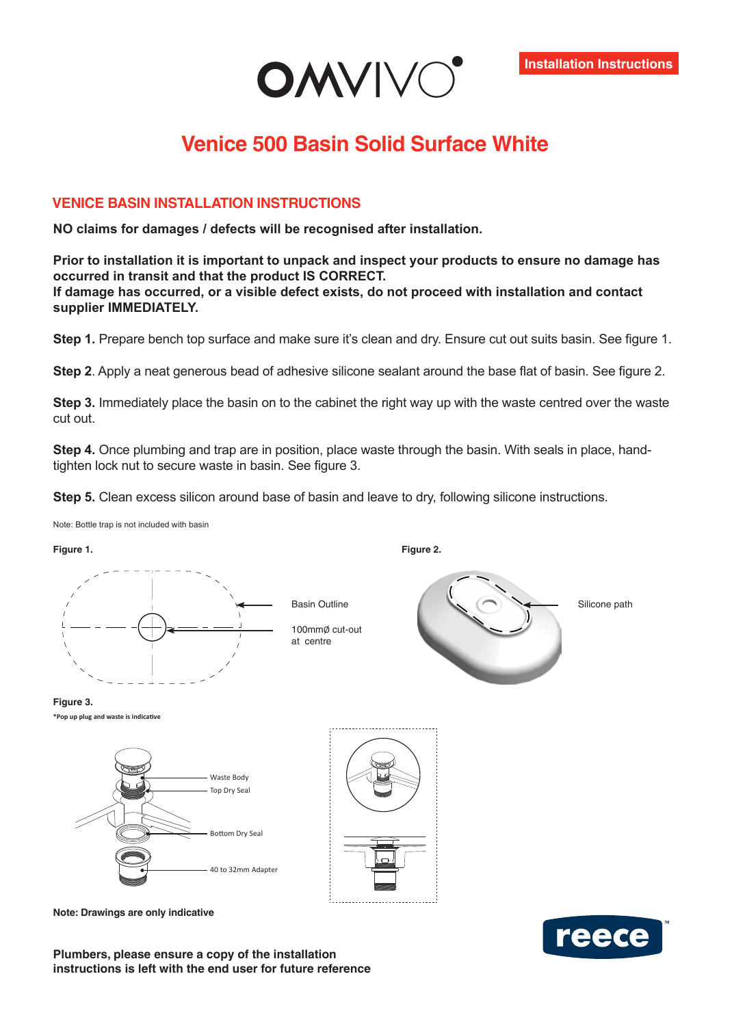

## **Venice 500 Basin Solid Surface White**

## **VENICE BASIN INSTALLATION INSTRUCTIONS**

**NO claims for damages / defects will be recognised after installation.**

**Prior to installation it is important to unpack and inspect your products to ensure no damage has occurred in transit and that the product IS CORRECT. If damage has occurred, or a visible defect exists, do not proceed with installation and contact supplier IMMEDIATELY.**

**Step 1.** Prepare bench top surface and make sure it's clean and dry. Ensure cut out suits basin. See figure 1.

**Step 2**. Apply a neat generous bead of adhesive silicone sealant around the base flat of basin. See figure 2.

**Step 3.** Immediately place the basin on to the cabinet the right way up with the waste centred over the waste cut out.

**Step 4.** Once plumbing and trap are in position, place waste through the basin. With seals in place, handtighten lock nut to secure waste in basin. See figure 3.

**Figure 2.**

**Step 5.** Clean excess silicon around base of basin and leave to dry, following silicone instructions.

Note: Bottle trap is not included with basin

**Figure 1.**



100mmØ cut-out at centre





**\*Pop up plug and waste is indicative**



**Note: Drawings are only indicative**

**Plumbers, please ensure a copy of the installation instructions is left with the end user for future reference**